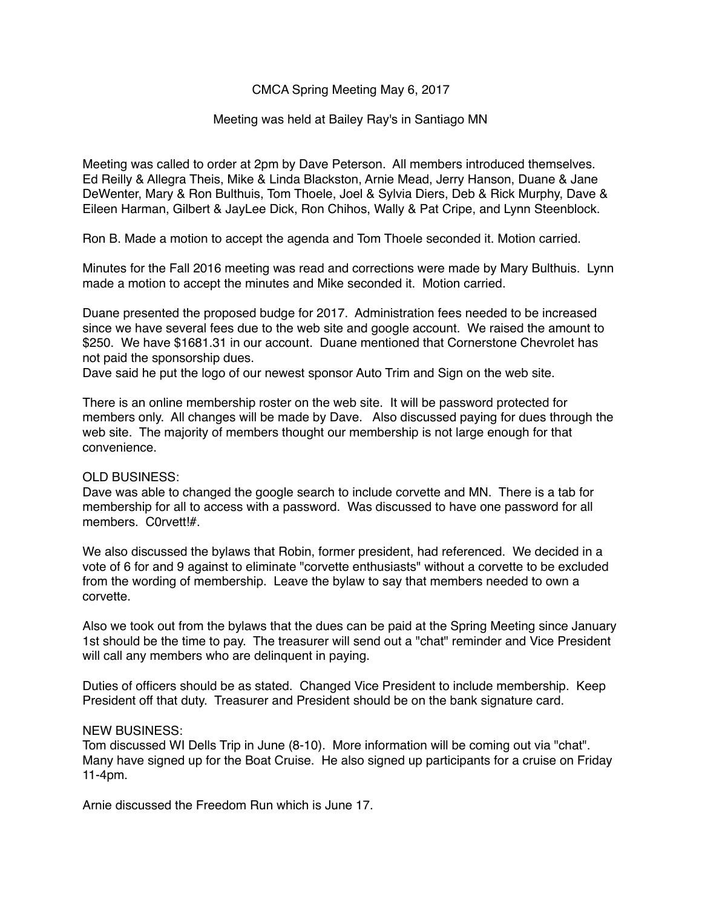# CMCA Spring Meeting May 6, 2017

## Meeting was held at Bailey Ray's in Santiago MN

Meeting was called to order at 2pm by Dave Peterson. All members introduced themselves. Ed Reilly & Allegra Theis, Mike & Linda Blackston, Arnie Mead, Jerry Hanson, Duane & Jane DeWenter, Mary & Ron Bulthuis, Tom Thoele, Joel & Sylvia Diers, Deb & Rick Murphy, Dave & Eileen Harman, Gilbert & JayLee Dick, Ron Chihos, Wally & Pat Cripe, and Lynn Steenblock.

Ron B. Made a motion to accept the agenda and Tom Thoele seconded it. Motion carried.

Minutes for the Fall 2016 meeting was read and corrections were made by Mary Bulthuis. Lynn made a motion to accept the minutes and Mike seconded it. Motion carried.

Duane presented the proposed budge for 2017. Administration fees needed to be increased since we have several fees due to the web site and google account. We raised the amount to \$250. We have \$1681.31 in our account. Duane mentioned that Cornerstone Chevrolet has not paid the sponsorship dues.

Dave said he put the logo of our newest sponsor Auto Trim and Sign on the web site.

There is an online membership roster on the web site. It will be password protected for members only. All changes will be made by Dave. Also discussed paying for dues through the web site. The majority of members thought our membership is not large enough for that convenience.

## OLD BUSINESS:

Dave was able to changed the google search to include corvette and MN. There is a tab for membership for all to access with a password. Was discussed to have one password for all members. C0rvett!#.

We also discussed the bylaws that Robin, former president, had referenced. We decided in a vote of 6 for and 9 against to eliminate "corvette enthusiasts" without a corvette to be excluded from the wording of membership. Leave the bylaw to say that members needed to own a corvette.

Also we took out from the bylaws that the dues can be paid at the Spring Meeting since January 1st should be the time to pay. The treasurer will send out a "chat" reminder and Vice President will call any members who are delinquent in paying.

Duties of officers should be as stated. Changed Vice President to include membership. Keep President off that duty. Treasurer and President should be on the bank signature card.

## NEW BUSINESS:

Tom discussed WI Dells Trip in June (8-10). More information will be coming out via "chat". Many have signed up for the Boat Cruise. He also signed up participants for a cruise on Friday 11-4pm.

Arnie discussed the Freedom Run which is June 17.